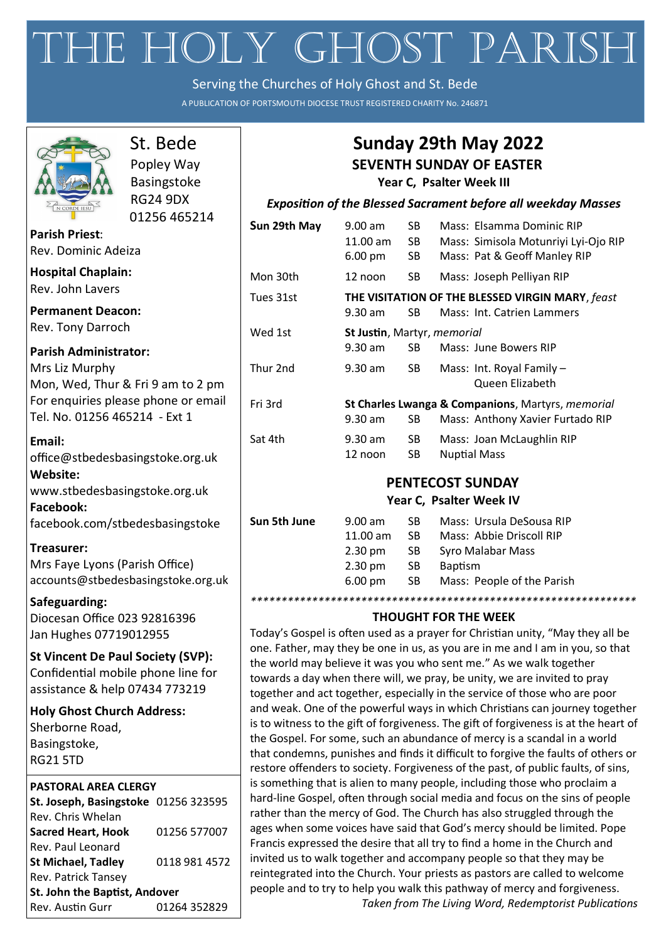# THE HOLY GHOST PARISH

Serving the Churches of Holy Ghost and St. Bede

A PUBLICATION OF PORTSMOUTH DIOCESE TRUST REGISTERED CHARITY No. 246871



# St. Bede Popley Way Basingstoke RG24 9DX

01256 465214

**Parish Priest**: Rev. Dominic Adeiza

**Hospital Chaplain:** Rev. John Lavers

**Permanent Deacon:** Rev. Tony Darroch

**Parish Administrator:** Mrs Liz Murphy Mon, Wed, Thur & Fri 9 am to 2 pm For enquiries please phone or email Tel. No. 01256 465214 - Ext 1

**Email:**  office[@stbedesbasingstoke.org.uk](mailto:stbedes@portsmouthdiocese.org.uk) **Website:**  [www.stbedesbasingstoke.org.uk](http://www.stbedesbasingstoke.org.uk) **Facebook:** facebook.com/stbedesbasingstoke

**Treasurer:** Mrs Faye Lyons (Parish Office) accounts@stbedesbasingstoke.org.uk

**Safeguarding:** Diocesan Office 023 92816396 Jan Hughes 07719012955

**St Vincent De Paul Society (SVP):** Confidential mobile phone line for assistance & help 07434 773219

**Holy Ghost Church Address:** Sherborne Road, Basingstoke, RG21 5TD

### **PASTORAL AREA CLERGY**

| St. Joseph, Basingstoke 01256 323595 |  |  |  |  |
|--------------------------------------|--|--|--|--|
|                                      |  |  |  |  |
| 01256 577007                         |  |  |  |  |
|                                      |  |  |  |  |
| 0118 981 4572                        |  |  |  |  |
|                                      |  |  |  |  |
| St. John the Baptist, Andover        |  |  |  |  |
| 01264 352829                         |  |  |  |  |
|                                      |  |  |  |  |

# **Sunday 29th May 2022**

# **SEVENTH SUNDAY OF EASTER**

**Year C, Psalter Week III**

## *Exposition of the Blessed Sacrament before all weekday Masses*

| $9.00$ am<br>$11.00$ am<br>6.00 pm | SB.<br>SB<br>SB | Mass: Elsamma Dominic RIP<br>Mass: Simisola Motunriyi Lyi-Ojo RIP<br>Mass: Pat & Geoff Manley RIP |
|------------------------------------|-----------------|---------------------------------------------------------------------------------------------------|
| 12 noon                            | SB.             | Mass: Joseph Pelliyan RIP                                                                         |
| 9.30 am                            | SB              | THE VISITATION OF THE BLESSED VIRGIN MARY, feast<br>Mass: Int. Catrien Lammers                    |
| 9.30 am                            | SB              | Mass: June Bowers RIP                                                                             |
| 9.30 am                            | SB.             | Mass: Int. Royal Family -<br>Queen Elizabeth                                                      |
| 9.30 am                            | SВ              | St Charles Lwanga & Companions, Martyrs, memorial<br>Mass: Anthony Xavier Furtado RIP             |
| 9.30 am<br>12 noon                 | SB.<br>SB       | Mass: Joan McLaughlin RIP<br><b>Nuptial Mass</b>                                                  |
|                                    |                 | St Justin, Martyr, memorial                                                                       |

# **PENTECOST SUNDAY**

# **Year C, Psalter Week IV**

| Sun 5th June | $9.00$ am            | SB. | Mass: Ursula DeSousa RIP   |
|--------------|----------------------|-----|----------------------------|
|              | $11.00$ am           | SB. | Mass: Abbie Driscoll RIP   |
|              | $2.30 \text{ pm}$    | SB. | Syro Malabar Mass          |
|              | $2.30 \text{ pm}$    | SB. | <b>Baptism</b>             |
|              | $6.00 \,\mathrm{pm}$ | SB. | Mass: People of the Parish |
|              |                      |     |                            |

# **THOUGHT FOR THE WEEK**

*\*\*\*\*\*\*\*\*\*\*\*\*\*\*\*\*\*\*\*\*\*\*\*\*\*\*\*\*\*\*\*\*\*\*\*\*\*\*\*\*\*\*\*\*\*\*\*\*\*\*\*\*\*\*\*\*\*\*\*\*\*\*\**

Today's Gospel is often used as a prayer for Christian unity, "May they all be one. Father, may they be one in us, as you are in me and I am in you, so that the world may believe it was you who sent me." As we walk together towards a day when there will, we pray, be unity, we are invited to pray together and act together, especially in the service of those who are poor and weak. One of the powerful ways in which Christians can journey together is to witness to the gift of forgiveness. The gift of forgiveness is at the heart of the Gospel. For some, such an abundance of mercy is a scandal in a world that condemns, punishes and finds it difficult to forgive the faults of others or restore offenders to society. Forgiveness of the past, of public faults, of sins, is something that is alien to many people, including those who proclaim a hard-line Gospel, often through social media and focus on the sins of people rather than the mercy of God. The Church has also struggled through the ages when some voices have said that God's mercy should be limited. Pope Francis expressed the desire that all try to find a home in the Church and invited us to walk together and accompany people so that they may be reintegrated into the Church. Your priests as pastors are called to welcome people and to try to help you walk this pathway of mercy and forgiveness.

*Taken from The Living Word, Redemptorist Publications*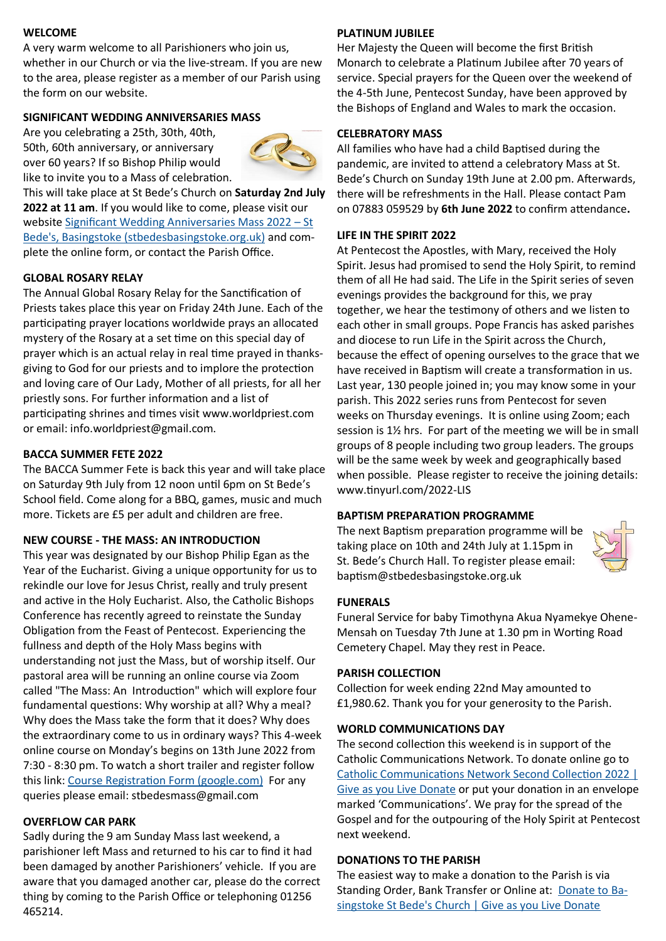#### **WELCOME**

A very warm welcome to all Parishioners who join us,

whether in our Church or via the live-stream. If you are new to the area, please register as a member of our Parish using the form on our website.

#### **SIGNIFICANT WEDDING ANNIVERSARIES MASS**

Are you celebrating a 25th, 30th, 40th, 50th, 60th anniversary, or anniversary over 60 years? If so Bishop Philip would like to invite you to a Mass of celebration.



This will take place at St Bede's Church on **Saturday 2nd July 2022 at 11 am**. If you would like to come, please visit our website [Significant Wedding Anniversaries Mass 2022 –](https://www.stbedesbasingstoke.org.uk/significant-wedding-anniversaries-mass-2022/) St [Bede's, Basingstoke \(stbedesbasingstoke.org.uk\)](https://www.stbedesbasingstoke.org.uk/significant-wedding-anniversaries-mass-2022/) and complete the online form, or contact the Parish Office.

#### **GLOBAL ROSARY RELAY**

The Annual Global Rosary Relay for the Sanctification of Priests takes place this year on Friday 24th June. Each of the participating prayer locations worldwide prays an allocated mystery of the Rosary at a set time on this special day of prayer which is an actual relay in real time prayed in thanksgiving to God for our priests and to implore the protection and loving care of Our Lady, Mother of all priests, for all her priestly sons. For further information and a list of participating shrines and times visit www.worldpriest.com or email: info.worldpriest@gmail.com.

#### **BACCA SUMMER FETE 2022**

The BACCA Summer Fete is back this year and will take place on Saturday 9th July from 12 noon until 6pm on St Bede's School field. Come along for a BBQ, games, music and much more. Tickets are £5 per adult and children are free.

#### **NEW COURSE - THE MASS: AN INTRODUCTION**

This year was designated by our Bishop Philip Egan as the Year of the Eucharist. Giving a unique opportunity for us to rekindle our love for Jesus Christ, really and truly present and active in the Holy Eucharist. Also, the Catholic Bishops Conference has recently agreed to reinstate the Sunday Obligation from the Feast of Pentecost. Experiencing the fullness and depth of the Holy Mass begins with understanding not just the Mass, but of worship itself. Our pastoral area will be running an online course via Zoom called "The Mass: An Introduction" which will explore four fundamental questions: Why worship at all? Why a meal? Why does the Mass take the form that it does? Why does the extraordinary come to us in ordinary ways? This 4-week online course on Monday's begins on 13th June 2022 from 7:30 - 8:30 pm. To watch a short trailer and register follow this link: [Course Registration Form \(google.com\)](https://docs.google.com/forms/d/e/1FAIpQLSeFIBcZn6JVm_6oOolL3RxVcphQhjBNgQl5s_wGO8_SOk6aMQ/viewform) For any queries please email: stbedesmass@gmail.com

#### **OVERFLOW CAR PARK**

Sadly during the 9 am Sunday Mass last weekend, a parishioner left Mass and returned to his car to find it had been damaged by another Parishioners' vehicle. If you are aware that you damaged another car, please do the correct thing by coming to the Parish Office or telephoning 01256 465214.

#### **PLATINUM JUBILEE**

Her Majesty the Queen will become the first British Monarch to celebrate a Platinum Jubilee after 70 years of service. Special prayers for the Queen over the weekend of the 4-5th June, Pentecost Sunday, have been approved by the Bishops of England and Wales to mark the occasion.

#### **CELEBRATORY MASS**

All families who have had a child Baptised during the pandemic, are invited to attend a celebratory Mass at St. Bede's Church on Sunday 19th June at 2.00 pm. Afterwards, there will be refreshments in the Hall. Please contact Pam on 07883 059529 by **6th June 2022** to confirm attendance**.**

#### **LIFE IN THE SPIRIT 2022**

At Pentecost the Apostles, with Mary, received the Holy Spirit. Jesus had promised to send the Holy Spirit, to remind them of all He had said. The Life in the Spirit series of seven evenings provides the background for this, we pray together, we hear the testimony of others and we listen to each other in small groups. Pope Francis has asked parishes and diocese to run Life in the Spirit across the Church, because the effect of opening ourselves to the grace that we have received in Baptism will create a transformation in us. Last year, 130 people joined in; you may know some in your parish. This 2022 series runs from Pentecost for seven weeks on Thursday evenings. It is online using Zoom; each session is 1½ hrs. For part of the meeting we will be in small groups of 8 people including two group leaders. The groups will be the same week by week and geographically based when possible. Please register to receive the joining details: www.tinyurl.com/2022-LIS

#### **BAPTISM PREPARATION PROGRAMME**

The next Baptism preparation programme will be taking place on 10th and 24th July at 1.15pm in St. Bede's Church Hall. To register please email: baptism@stbedesbasingstoke.org.uk



#### **FUNERALS**

Funeral Service for baby Timothyna Akua Nyamekye Ohene-Mensah on Tuesday 7th June at 1.30 pm in Worting Road Cemetery Chapel. May they rest in Peace.

#### **PARISH COLLECTION**

Collection for week ending 22nd May amounted to £1,980.62. Thank you for your generosity to the Parish.

#### **WORLD COMMUNICATIONS DAY**

The second collection this weekend is in support of the Catholic Communications Network. To donate online go to [Catholic Communications Network Second Collection 2022 |](https://donate.giveasyoulive.com/campaign/catholic-communications-network)  [Give as you Live Donate](https://donate.giveasyoulive.com/campaign/catholic-communications-network) or put your donation in an envelope marked 'Communications'. We pray for the spread of the Gospel and for the outpouring of the Holy Spirit at Pentecost next weekend.

#### **DONATIONS TO THE PARISH**

The easiest way to make a donation to the Parish is via Standing Order, Bank Transfer or Online at: [Donate to Ba](https://donate.giveasyoulive.com/donate?cid=231305)[singstoke St Bede's Church | Give as you Live Donate](https://donate.giveasyoulive.com/donate?cid=231305)